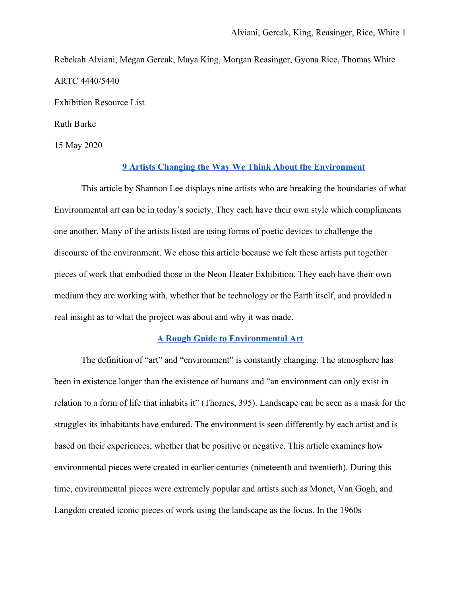Rebekah Alviani, Megan Gercak, Maya King, Morgan Reasinger, Gyona Rice, Thomas White ARTC 4440/5440

Exhibition Resource List

Ruth Burke

15 May 2020

## **[9 Artists Changing the Way We Think About the Environment](https://www.artspace.com/magazine/interviews_features/in_brief/9-artists-changing-the-way-we-think-about-the-environment-54968)**

This article by Shannon Lee displays nine artists who are breaking the boundaries of what Environmental art can be in today's society. They each have their own style which compliments one another. Many of the artists listed are using forms of poetic devices to challenge the discourse of the environment. We chose this article because we felt these artists put together pieces of work that embodied those in the Neon Heater Exhibition. They each have their own medium they are working with, whether that be technology or the Earth itself, and provided a real insight as to what the project was about and why it was made.

# **[A Rough Guide to Environmental Art](https://www.researchgate.net/publication/228268551_A_Rough_Guide_to_Environmental_Art)**

The definition of "art" and "environment" is constantly changing. The atmosphere has been in existence longer than the existence of humans and "an environment can only exist in relation to a form of life that inhabits it" (Thornes, 395). Landscape can be seen as a mask for the struggles its inhabitants have endured. The environment is seen differently by each artist and is based on their experiences, whether that be positive or negative. This article examines how environmental pieces were created in earlier centuries (nineteenth and twentieth). During this time, environmental pieces were extremely popular and artists such as Monet, Van Gogh, and Langdon created iconic pieces of work using the landscape as the focus. In the 1960s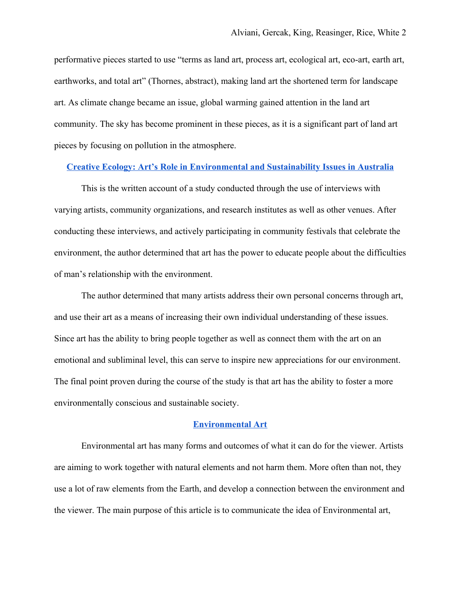performative pieces started to use "terms as land art, process art, ecological art, eco-art, earth art, earthworks, and total art" (Thornes, abstract), making land art the shortened term for landscape art. As climate change became an issue, global warming gained attention in the land art community. The sky has become prominent in these pieces, as it is a significant part of land art pieces by focusing on pollution in the atmosphere.

# **[Creative Ecology: Art's Role in Environmental and Sustainability Issues in Australia](https://digitalcollections.sit.edu/cgi/viewcontent.cgi?referer=https://www.google.com/&httpsredir=1&article=1580&context=isp_collection)**

This is the written account of a study conducted through the use of interviews with varying artists, community organizations, and research institutes as well as other venues. After conducting these interviews, and actively participating in community festivals that celebrate the environment, the author determined that art has the power to educate people about the difficulties of man's relationship with the environment.

The author determined that many artists address their own personal concerns through art, and use their art as a means of increasing their own individual understanding of these issues. Since art has the ability to bring people together as well as connect them with the art on an emotional and subliminal level, this can serve to inspire new appreciations for our environment. The final point proven during the course of the study is that art has the ability to foster a more environmentally conscious and sustainable society.

### **[Environmental Art](https://www.theartstory.org/movement/environmental-art/)**

Environmental art has many forms and outcomes of what it can do for the viewer. Artists are aiming to work together with natural elements and not harm them. More often than not, they use a lot of raw elements from the Earth, and develop a connection between the environment and the viewer. The main purpose of this article is to communicate the idea of Environmental art,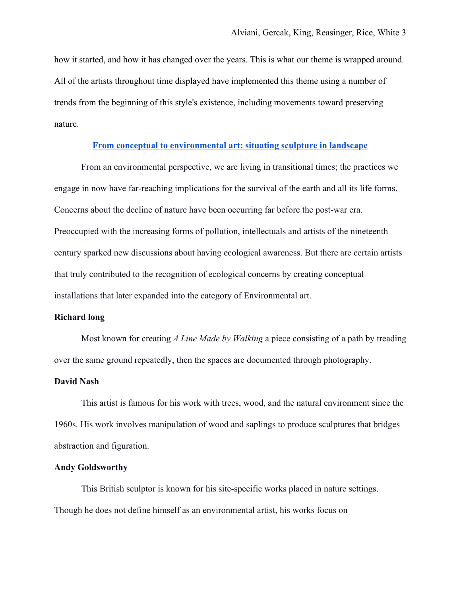how it started, and how it has changed over the years. This is what our theme is wrapped around. All of the artists throughout time displayed have implemented this theme using a number of trends from the beginning of this style's existence, including movements toward preserving nature.

# **[From conceptual to environmental art: situating sculpture in landscape](https://artuk.org/discover/stories/from-conceptual-to-environmental-art-situating-sculpture-in-landscape)**

From an environmental perspective, we are living in transitional times; the practices we engage in now have far-reaching implications for the survival of the earth and all its life forms. Concerns about the decline of nature have been occurring far before the post-war era. Preoccupied with the increasing forms of pollution, intellectuals and artists of the nineteenth century sparked new discussions about having ecological awareness. But there are certain artists that truly contributed to the recognition of ecological concerns by creating conceptual installations that later expanded into the category of Environmental art.

## **Richard long**

Most known for creating *A Line Made by Walking* a piece consisting of a path by treading over the same ground repeatedly, then the spaces are documented through photography.

#### **David Nash**

This artist is famous for his work with trees, wood, and the natural environment since the 1960s. His work involves manipulation of wood and saplings to produce sculptures that bridges abstraction and figuration.

## **Andy Goldsworthy**

This British sculptor is known for his site-specific works placed in nature settings. Though he does not define himself as an environmental artist, his works focus on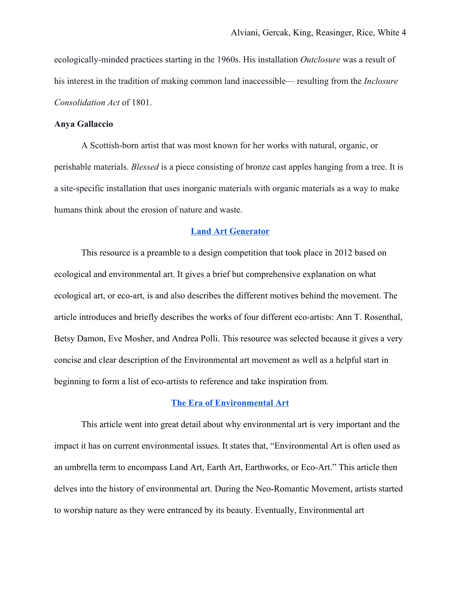ecologically-minded practices starting in the 1960s. His installation *Outclosure* was a result of his interest in the tradition of making common land inaccessible— resulting from the *Inclosure Consolidation Act* of 1801.

## **Anya Gallaccio**

A Scottish-born artist that was most known for her works with natural, organic, or perishable materials. *Blessed* is a piece consisting of bronze cast apples hanging from a tree. It is a site-specific installation that uses inorganic materials with organic materials as a way to make humans think about the erosion of nature and waste.

## **[Land Art Generator](https://landartgenerator.org/blagi/archives/2094)**

This resource is a preamble to a design competition that took place in 2012 based on ecological and environmental art. It gives a brief but comprehensive explanation on what ecological art, or eco-art, is and also describes the different motives behind the movement. The article introduces and briefly describes the works of four different eco-artists: Ann T. Rosenthal, Betsy Damon, Eve Mosher, and Andrea Polli. This resource was selected because it gives a very concise and clear description of the Environmental art movement as well as a helpful start in beginning to form a list of eco-artists to reference and take inspiration from.

## **[The Era of Environmental Art](https://www.widewalls.ch/environmental-art/)**

This article went into great detail about why environmental art is very important and the impact it has on current environmental issues. It states that, "Environmental Art is often used as an umbrella term to encompass [Land Art](https://www.widewalls.ch/land-art/), Earth Art, Earthworks, or Eco-Art." This article then delves into the history of environmental art. During the Neo-Romantic Movement, artists started to worship nature as they were entranced by its beauty. Eventually, Environmental art